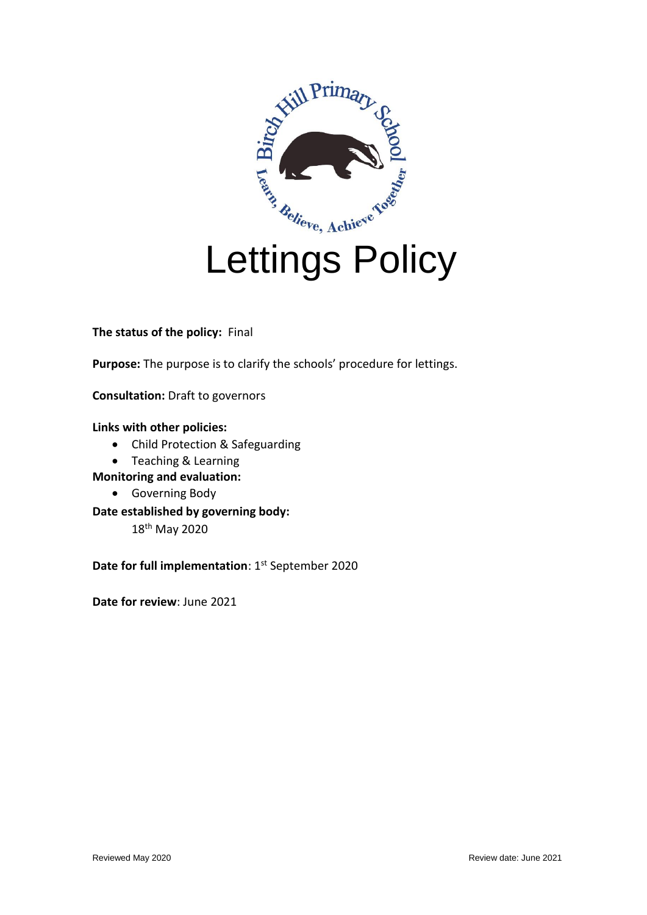

**The status of the policy:** Final

**Purpose:** The purpose is to clarify the schools' procedure for lettings.

**Consultation:** Draft to governors

# **Links with other policies:**

- Child Protection & Safeguarding
- Teaching & Learning

**Monitoring and evaluation:**

- Governing Body
- **Date established by governing body:**  18th May 2020

**Date for full implementation**: 1<sup>st</sup> September 2020

**Date for review**: June 2021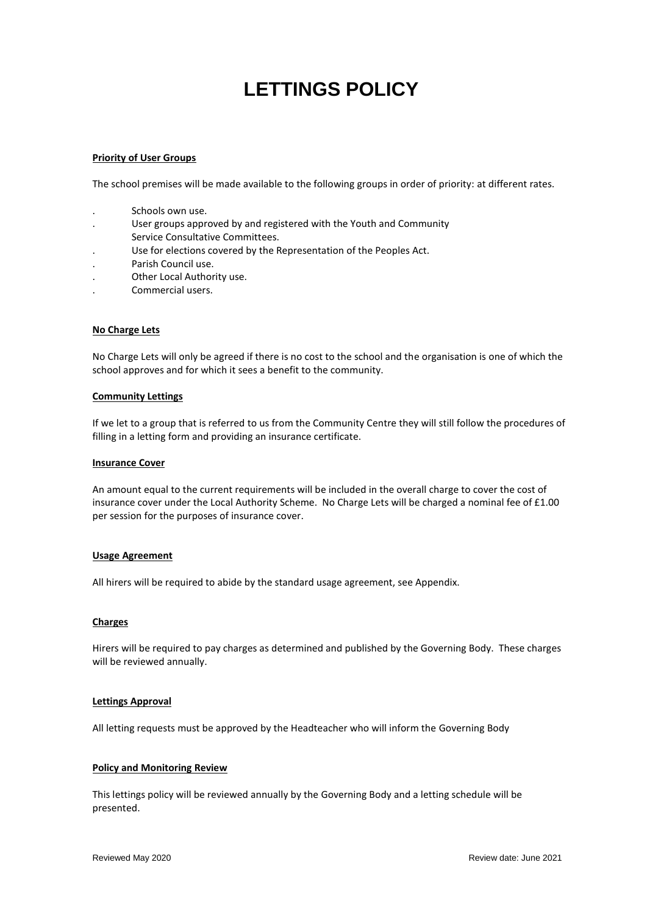# **LETTINGS POLICY**

#### **Priority of User Groups**

The school premises will be made available to the following groups in order of priority: at different rates.

- . Schools own use.
- . User groups approved by and registered with the Youth and Community Service Consultative Committees.
- . Use for elections covered by the Representation of the Peoples Act.
- . Parish Council use.
- . Other Local Authority use.
- . Commercial users.

#### **No Charge Lets**

No Charge Lets will only be agreed if there is no cost to the school and the organisation is one of which the school approves and for which it sees a benefit to the community.

#### **Community Lettings**

If we let to a group that is referred to us from the Community Centre they will still follow the procedures of filling in a letting form and providing an insurance certificate.

#### **Insurance Cover**

An amount equal to the current requirements will be included in the overall charge to cover the cost of insurance cover under the Local Authority Scheme. No Charge Lets will be charged a nominal fee of £1.00 per session for the purposes of insurance cover.

#### **Usage Agreement**

All hirers will be required to abide by the standard usage agreement, see Appendix.

#### **Charges**

Hirers will be required to pay charges as determined and published by the Governing Body. These charges will be reviewed annually.

#### **Lettings Approval**

All letting requests must be approved by the Headteacher who will inform the Governing Body

#### **Policy and Monitoring Review**

This lettings policy will be reviewed annually by the Governing Body and a letting schedule will be presented.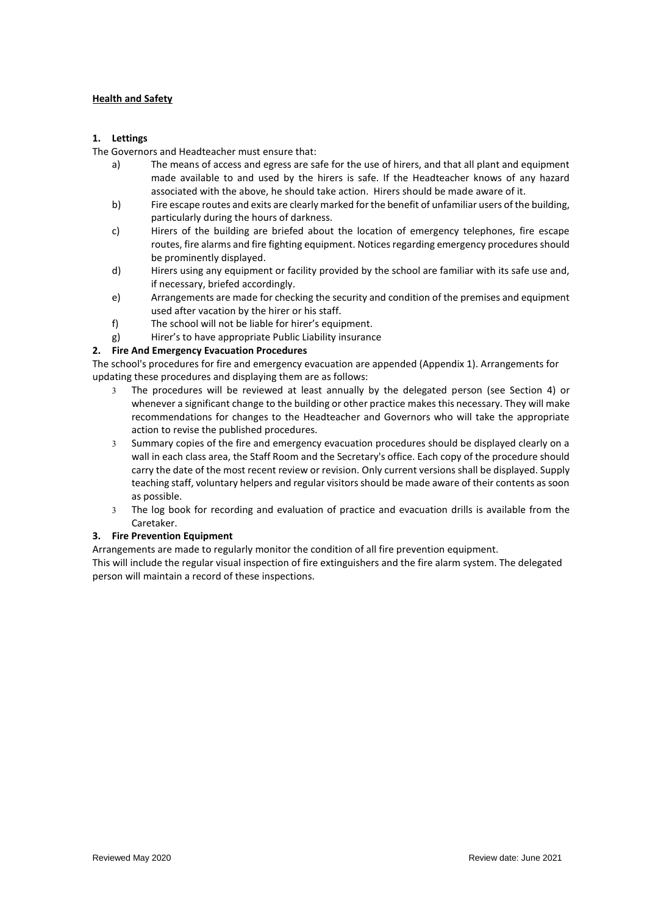#### **Health and Safety**

#### **1. Lettings**

The Governors and Headteacher must ensure that:

- a) The means of access and egress are safe for the use of hirers, and that all plant and equipment made available to and used by the hirers is safe. If the Headteacher knows of any hazard associated with the above, he should take action. Hirers should be made aware of it.
- b) Fire escape routes and exits are clearly marked for the benefit of unfamiliar users of the building, particularly during the hours of darkness.
- c) Hirers of the building are briefed about the location of emergency telephones, fire escape routes, fire alarms and fire fighting equipment. Notices regarding emergency procedures should be prominently displayed.
- d) Hirers using any equipment or facility provided by the school are familiar with its safe use and, if necessary, briefed accordingly.
- e) Arrangements are made for checking the security and condition of the premises and equipment used after vacation by the hirer or his staff.
- f) The school will not be liable for hirer's equipment.
- g) Hirer's to have appropriate Public Liability insurance

### **2. Fire And Emergency Evacuation Procedures**

The school's procedures for fire and emergency evacuation are appended (Appendix 1). Arrangements for updating these procedures and displaying them are as follows:

- The procedures will be reviewed at least annually by the delegated person (see Section 4) or whenever a significant change to the building or other practice makes this necessary. They will make recommendations for changes to the Headteacher and Governors who will take the appropriate action to revise the published procedures.
- Summary copies of the fire and emergency evacuation procedures should be displayed clearly on a wall in each class area, the Staff Room and the Secretary's office. Each copy of the procedure should carry the date of the most recent review or revision. Only current versions shall be displayed. Supply teaching staff, voluntary helpers and regular visitors should be made aware of their contents as soon as possible.
- The log book for recording and evaluation of practice and evacuation drills is available from the Caretaker.

#### **3. Fire Prevention Equipment**

Arrangements are made to regularly monitor the condition of all fire prevention equipment.

This will include the regular visual inspection of fire extinguishers and the fire alarm system. The delegated person will maintain a record of these inspections.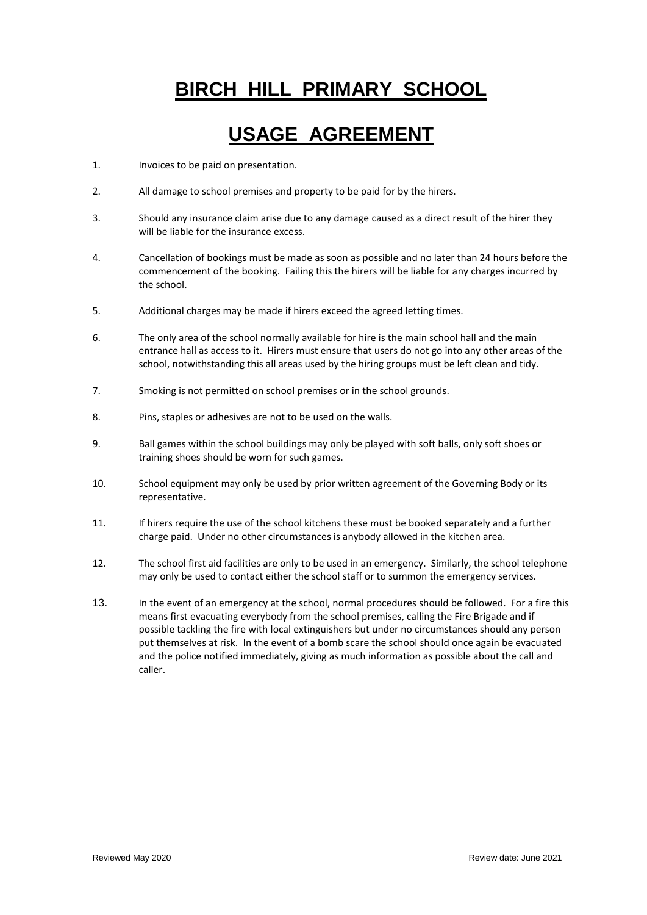# **BIRCH HILL PRIMARY SCHOOL**

# **USAGE AGREEMENT**

- 1. Invoices to be paid on presentation.
- 2. All damage to school premises and property to be paid for by the hirers.
- 3. Should any insurance claim arise due to any damage caused as a direct result of the hirer they will be liable for the insurance excess.
- 4. Cancellation of bookings must be made as soon as possible and no later than 24 hours before the commencement of the booking. Failing this the hirers will be liable for any charges incurred by the school.
- 5. Additional charges may be made if hirers exceed the agreed letting times.
- 6. The only area of the school normally available for hire is the main school hall and the main entrance hall as access to it. Hirers must ensure that users do not go into any other areas of the school, notwithstanding this all areas used by the hiring groups must be left clean and tidy.
- 7. Smoking is not permitted on school premises or in the school grounds.
- 8. Pins, staples or adhesives are not to be used on the walls.
- 9. Ball games within the school buildings may only be played with soft balls, only soft shoes or training shoes should be worn for such games.
- 10. School equipment may only be used by prior written agreement of the Governing Body or its representative.
- 11. If hirers require the use of the school kitchens these must be booked separately and a further charge paid. Under no other circumstances is anybody allowed in the kitchen area.
- 12. The school first aid facilities are only to be used in an emergency. Similarly, the school telephone may only be used to contact either the school staff or to summon the emergency services.
- 13. In the event of an emergency at the school, normal procedures should be followed. For a fire this means first evacuating everybody from the school premises, calling the Fire Brigade and if possible tackling the fire with local extinguishers but under no circumstances should any person put themselves at risk. In the event of a bomb scare the school should once again be evacuated and the police notified immediately, giving as much information as possible about the call and caller.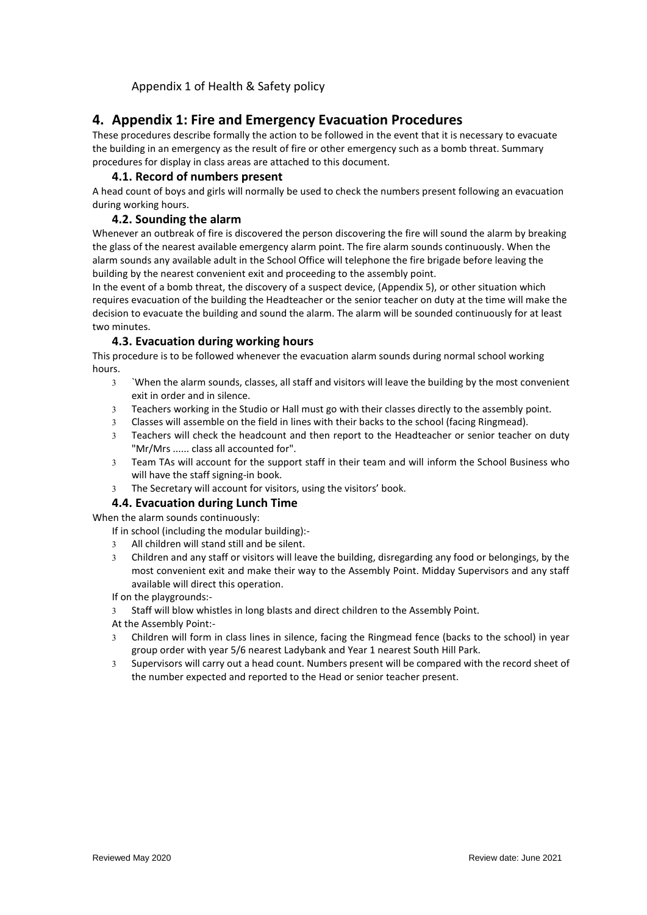Appendix 1 of Health & Safety policy

# **4. Appendix 1: Fire and Emergency Evacuation Procedures**

These procedures describe formally the action to be followed in the event that it is necessary to evacuate the building in an emergency as the result of fire or other emergency such as a bomb threat. Summary procedures for display in class areas are attached to this document.

# **4.1. Record of numbers present**

A head count of boys and girls will normally be used to check the numbers present following an evacuation during working hours.

# **4.2. Sounding the alarm**

Whenever an outbreak of fire is discovered the person discovering the fire will sound the alarm by breaking the glass of the nearest available emergency alarm point. The fire alarm sounds continuously. When the alarm sounds any available adult in the School Office will telephone the fire brigade before leaving the building by the nearest convenient exit and proceeding to the assembly point.

In the event of a bomb threat, the discovery of a suspect device, (Appendix 5), or other situation which requires evacuation of the building the Headteacher or the senior teacher on duty at the time will make the decision to evacuate the building and sound the alarm. The alarm will be sounded continuously for at least two minutes.

# **4.3. Evacuation during working hours**

This procedure is to be followed whenever the evacuation alarm sounds during normal school working hours.

- `When the alarm sounds, classes, all staff and visitors will leave the building by the most convenient exit in order and in silence.
- Teachers working in the Studio or Hall must go with their classes directly to the assembly point.
- Classes will assemble on the field in lines with their backs to the school (facing Ringmead).
- Teachers will check the headcount and then report to the Headteacher or senior teacher on duty "Mr/Mrs ...... class all accounted for".
- Team TAs will account for the support staff in their team and will inform the School Business who will have the staff signing-in book.
- The Secretary will account for visitors, using the visitors' book.

### **4.4. Evacuation during Lunch Time**

When the alarm sounds continuously:

- If in school (including the modular building):-
	- All children will stand still and be silent.
	- Children and any staff or visitors will leave the building, disregarding any food or belongings, by the most convenient exit and make their way to the Assembly Point. Midday Supervisors and any staff available will direct this operation.

If on the playgrounds:-

- 3 Staff will blow whistles in long blasts and direct children to the Assembly Point.
- At the Assembly Point:-
- Children will form in class lines in silence, facing the Ringmead fence (backs to the school) in year group order with year 5/6 nearest Ladybank and Year 1 nearest South Hill Park.
- Supervisors will carry out a head count. Numbers present will be compared with the record sheet of the number expected and reported to the Head or senior teacher present.